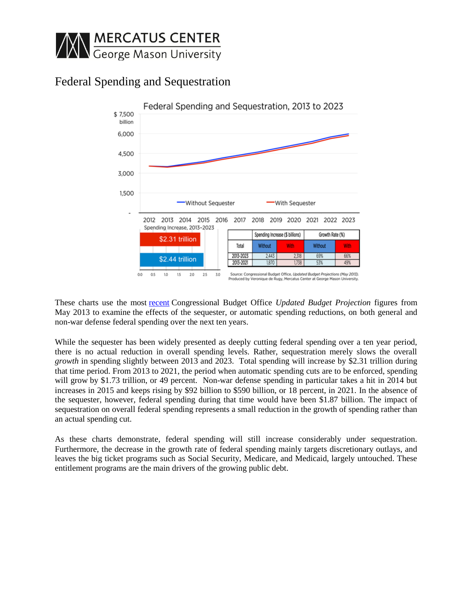

## Federal Spending and Sequestration



These charts use the most [recent](https://mailman.chims.net/owa/redir.aspx?C=9vFvnm0vnEKL6XEe4WJDyESsWyzwyNAI6d_XHzGaivG722TL9qnmj82kVFU9e_Y8KPnLwdTnjMk.&URL=http%3a%2f%2fcbo.gov%2fsites%2fdefault%2ffiles%2fcbofiles%2fattachments%2f44172-Baseline2.pdf) Congressional Budget Office *Updated Budget Projection* figures from May 2013 to examine the effects of the sequester, or automatic spending reductions, on both general and non-war defense federal spending over the next ten years.

While the sequester has been widely presented as deeply cutting federal spending over a ten year period, there is no actual reduction in overall spending levels. Rather, sequestration merely slows the overall *growth* in spending slightly between 2013 and 2023. Total spending will increase by \$2.31 trillion during that time period. From 2013 to 2021, the period when automatic spending cuts are to be enforced, spending will grow by \$1.73 trillion, or 49 percent. Non-war defense spending in particular takes a hit in 2014 but increases in 2015 and keeps rising by \$92 billion to \$590 billion, or 18 percent, in 2021. In the absence of the sequester, however, federal spending during that time would have been \$1.87 billion. The impact of sequestration on overall federal spending represents a small reduction in the growth of spending rather than an actual spending cut.

As these charts demonstrate, federal spending will still increase considerably under sequestration. Furthermore, the decrease in the growth rate of federal spending mainly targets discretionary outlays, and leaves the big ticket programs such as Social Security, Medicare, and Medicaid, largely untouched. These entitlement programs are the main drivers of the growing public debt.